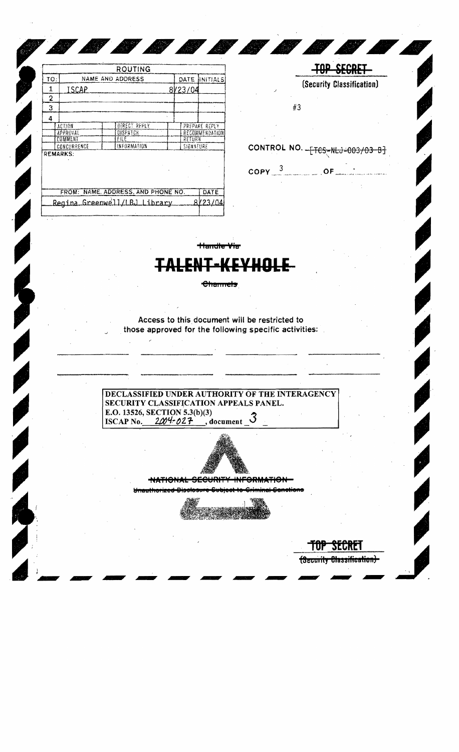|                                    |                        |  | <b>ROUTING</b>   |               |           |                  |
|------------------------------------|------------------------|--|------------------|---------------|-----------|------------------|
| TO:                                |                        |  | NAME AND ADDRESS |               | DATE      | <b>JINITIALS</b> |
| 1                                  | ISCAP                  |  |                  |               | 8/23/04   |                  |
| 2                                  |                        |  |                  |               |           |                  |
| 3                                  |                        |  |                  |               |           |                  |
| 4                                  |                        |  |                  |               |           |                  |
|                                    | DIRECT REPLY<br>ACTION |  |                  | PREPARE REPLY |           |                  |
|                                    | <b>APPROVAL</b>        |  | DISPATCH         |               |           | RECOMMENDATION   |
|                                    | COMMENT                |  | FILE             |               | RETURN    |                  |
|                                    | CONCURRENCE            |  | (NFORMATION      |               | SIGNATURE |                  |
| <b>REMARKS:</b>                    |                        |  |                  |               |           |                  |
| FROM: NAME, ADDRESS, AND PHONE NO. |                        |  |                  |               |           | DATE             |
| $D = -2$                           |                        |  |                  |               |           | ovos ind         |



TUP SECRET (Security Classification)-

Access to this document will be restricted to

Channels

<del>landle Via</del>

<del>I-KEYHO</del>I

N N N N N N N N

those approved for the following specific activities:

DECLASSIFIED UNDER AUTHORITY OF THE INTERAGENCY SECURITY CLASSIFICATION APPEALS PANEL. E.O. 13526, SECTION 5.3(b)(3) ISCAP No.  $2004 - 027$ , document  $3$ 



NATIONAL SECURITY INFORMATION Unauthorized Disclosure Sub <u> Animaima L.Compobiovoc</u>

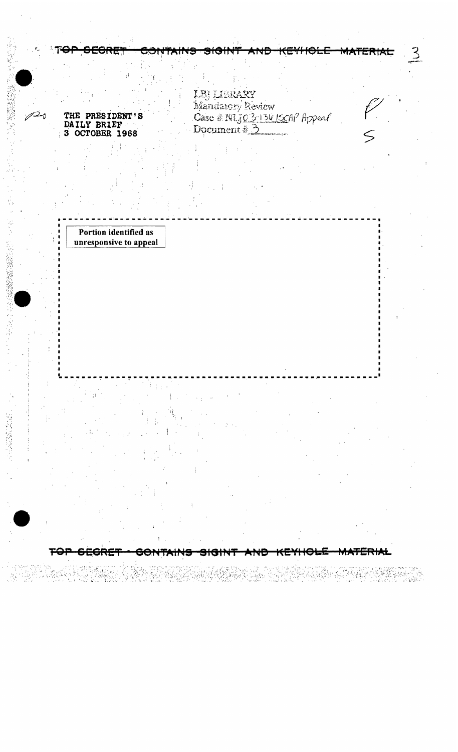THE PRESIDENT'S DAILY BRIEF<br>3 OCTOBER 1968

ەستەر

(1) (2) 3) (3) (3) (3) (3)

੩੦ੇ™™

LEJ LIBRARY<br>Mandatory Review<br>Case # NUJO 3-13615CAP Appeal<br>Document # 3

**ATT** 

<del>sigint</del>

マ

<del>MATERIAL.</del>

Portion identified as unresponsive to appeal

Ŧ<del>O</del>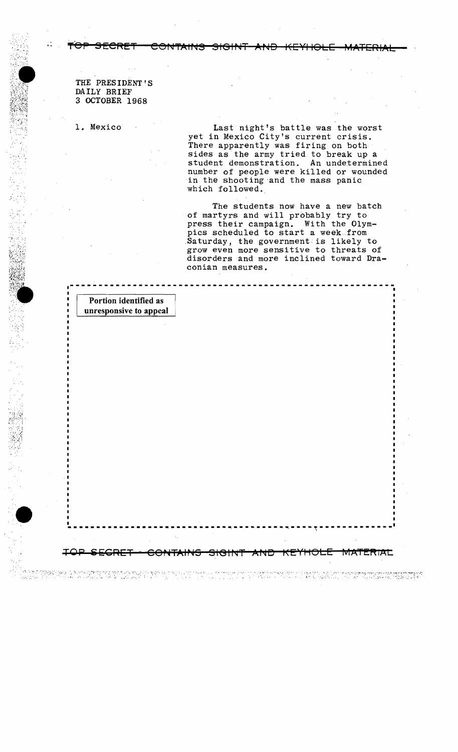THE PRESIDENT'S DAILY BRIEF 3 OCTOBER 1968

1. Mexico

Last night's battle was the worst yet in Mexico City's current crisis. There apparently was firing on both sides as the army tried to break up a student demonstration. An undetermined number of people were killed or wounded in the shooting and the mass panic which followed.

The students now have a new batch of martyrs and will probably try to press their campaign. With the Olympics scheduled to start a week from Saturday, the government is likely to grow even more sensitive to threats of disorders and more inclined toward Draconian measures.

TAT

TVT ATTER

Portion identified as unresponsive to appeal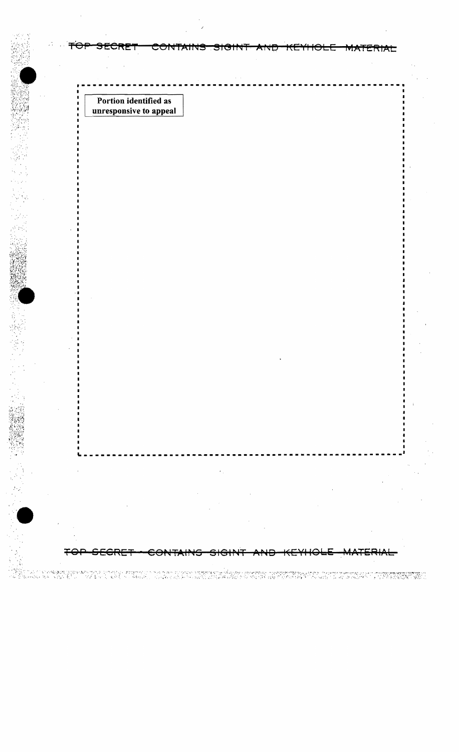Portion identified as unresponsive to appeal

 $\cdot$  :

p

i "A Constant predector computator o computator de producto de la propriedad despositiva en computator de la p<br>Todo acomputación de la sela contra do los estentimos de la servición de la contrada de la contrada de la sint